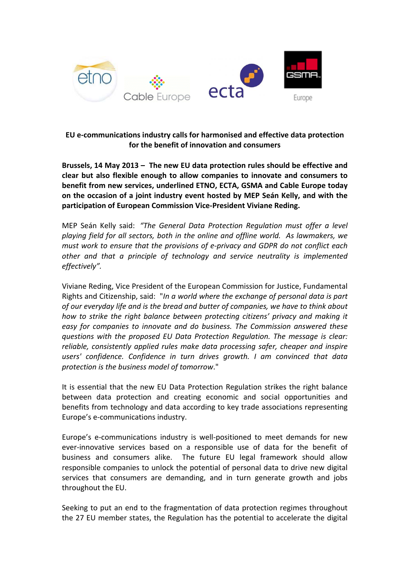

## **EU e‐communications industry calls for harmonised and effective data protection for the benefit of innovation and consumers**

**Brussels, 14 May 2013 – The new EU data protection rules should be effective and clear but also flexible enough to allow companies to innovate and consumers to benefit from new services, underlined ETNO, ECTA, GSMA and Cable Europe today on the occasion of a joint industry event hosted by MEP Seán Kelly, and with the participation of European Commission Vice‐President Viviane Reding.** 

MEP Seán Kelly said: *"The General Data Protection Regulation must offer a level playing field for all sectors, both in the online and offline world. As lawmakers, we must work to ensure that the provisions of e‐privacy and GDPR do not conflict each other and that a principle of technology and service neutrality is implemented effectively".*

Viviane Reding, Vice President of the European Commission for Justice, Fundamental Rights and Citizenship, said: "*In a world where the exchange of personal data is part of our everyday life and is the bread and butter of companies, we have to think about how to strike the right balance between protecting citizens' privacy and making it easy for companies to innovate and do business. The Commission answered these questions with the proposed EU Data Protection Regulation. The message is clear: reliable, consistently applied rules make data processing safer, cheaper and inspire users' confidence. Confidence in turn drives growth. I am convinced that data protection is the business model of tomorrow*."

It is essential that the new EU Data Protection Regulation strikes the right balance between data protection and creating economic and social opportunities and benefits from technology and data according to key trade associations representing Europe's e‐communications industry.

Europe's e-communications industry is well-positioned to meet demands for new ever-innovative services based on a responsible use of data for the benefit of business and consumers alike. The future EU legal framework should allow responsible companies to unlock the potential of personal data to drive new digital services that consumers are demanding, and in turn generate growth and jobs throughout the EU.

Seeking to put an end to the fragmentation of data protection regimes throughout the 27 EU member states, the Regulation has the potential to accelerate the digital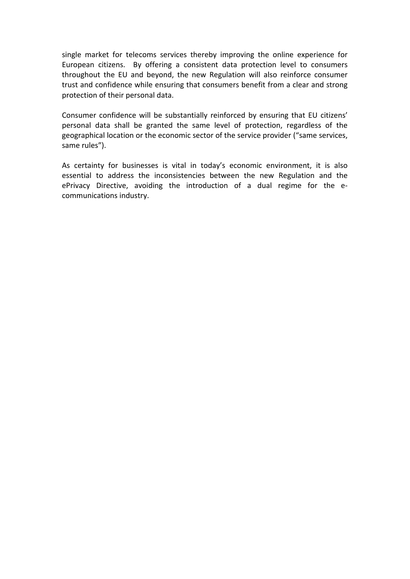single market for telecoms services thereby improving the online experience for European citizens. By offering a consistent data protection level to consumers throughout the EU and beyond, the new Regulation will also reinforce consumer trust and confidence while ensuring that consumers benefit from a clear and strong protection of their personal data.

Consumer confidence will be substantially reinforced by ensuring that EU citizens' personal data shall be granted the same level of protection, regardless of the geographical location or the economic sector of the service provider ("same services, same rules").

As certainty for businesses is vital in today's economic environment, it is also essential to address the inconsistencies between the new Regulation and the ePrivacy Directive, avoiding the introduction of a dual regime for the e‐ communications industry.